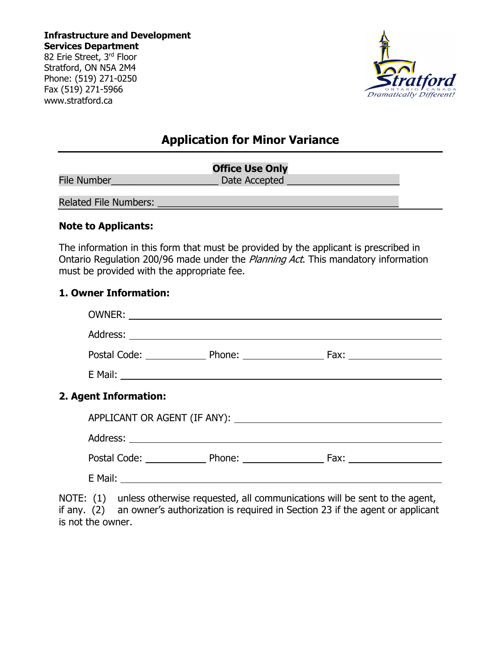**Infrastructure and Development Services Department** 82 Erie Street, 3rd Floor

Stratford, ON N5A 2M4 Phone: (519) 271-0250 Fax (519) 271-5966 www.stratford.ca



# **Application for Minor Variance**

|                       | <b>Office Use Only</b> |
|-----------------------|------------------------|
| <b>File Number</b>    | Date Accepted          |
| Related File Numbers: |                        |

#### **Note to Applicants:**

The information in this form that must be provided by the applicant is prescribed in Ontario Regulation 200/96 made under the *Planning Act*. This mandatory information must be provided with the appropriate fee.

#### **1. Owner Information:**

| 2. Agent Information: |  |  |  |  |  |  |
|-----------------------|--|--|--|--|--|--|
|                       |  |  |  |  |  |  |
|                       |  |  |  |  |  |  |
|                       |  |  |  |  |  |  |
|                       |  |  |  |  |  |  |
|                       |  |  |  |  |  |  |

NOTE: (1) unless otherwise requested, all communications will be sent to the agent, if any. (2) an owner's authorization is required in Section 23 if the agent or applicant an owner's authorization is required in Section 23 if the agent or applicant is not the owner.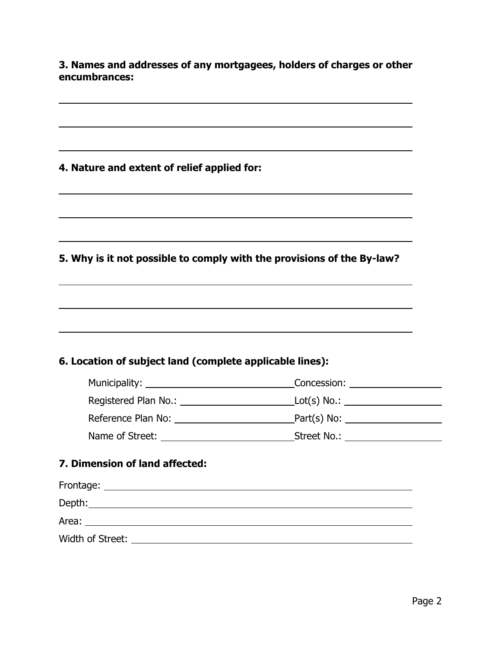**3. Names and addresses of any mortgagees, holders of charges or other encumbrances:** 

## **4. Nature and extent of relief applied for:**

 $\overline{a}$ 

**5. Why is it not possible to comply with the provisions of the By-law?**

## **6. Location of subject land (complete applicable lines):**

| Municipality:        | Concession:    |
|----------------------|----------------|
| Registered Plan No.: | $Lot(s) No.$ : |
| Reference Plan No:   | Part(s) No:    |
| Name of Street:      | Street No.:    |

## **7. Dimension of land affected:**

| Frontage:        |  |  |
|------------------|--|--|
| Depth:           |  |  |
| Area:            |  |  |
| Width of Street: |  |  |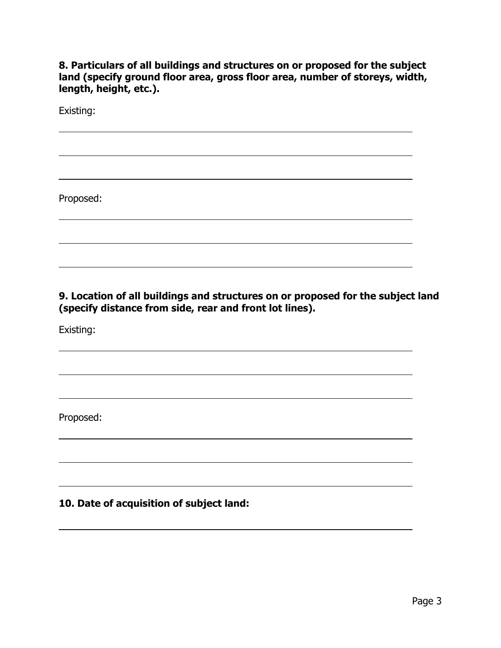**8. Particulars of all buildings and structures on or proposed for the subject land (specify ground floor area, gross floor area, number of storeys, width, length, height, etc.).** 

Existing:

 $\overline{a}$ 

Proposed:

**9. Location of all buildings and structures on or proposed for the subject land (specify distance from side, rear and front lot lines).** 

Existing:

 $\overline{a}$ 

 $\overline{a}$ 

Proposed:

**10. Date of acquisition of subject land:**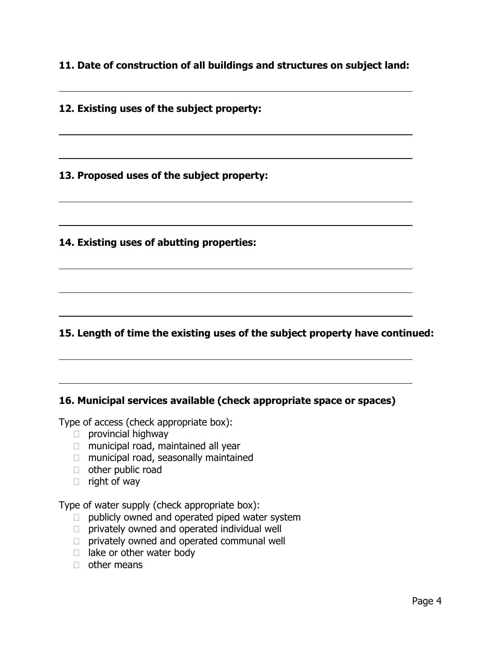**11. Date of construction of all buildings and structures on subject land:** 

**12. Existing uses of the subject property:** 

 $\overline{a}$ 

 $\overline{a}$ 

**13. Proposed uses of the subject property:** 

**14. Existing uses of abutting properties:** 

## **15. Length of time the existing uses of the subject property have continued:**

#### **16. Municipal services available (check appropriate space or spaces)**

Type of access (check appropriate box):

- $\Box$  provincial highway
- $\Box$  municipal road, maintained all year
- $\Box$  municipal road, seasonally maintained
- other public road
- $\Box$  right of way

Type of water supply (check appropriate box):

- $\Box$  publicly owned and operated piped water system
- $\Box$  privately owned and operated individual well
- $\Box$  privately owned and operated communal well
- $\Box$  lake or other water body
- $\Box$  other means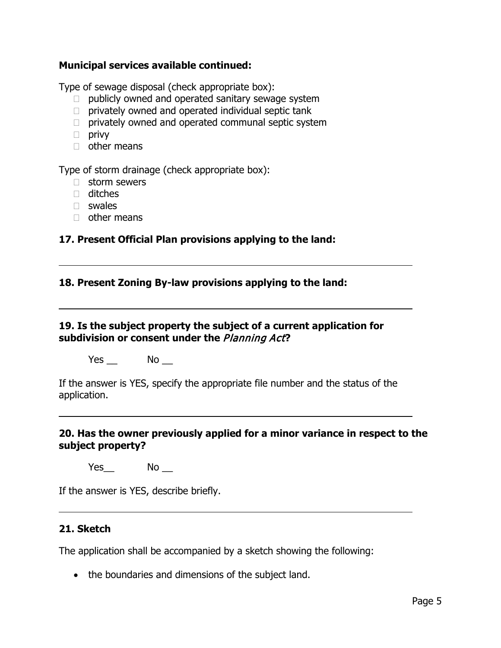#### **Municipal services available continued:**

Type of sewage disposal (check appropriate box):

- $\Box$  publicly owned and operated sanitary sewage system
- $\Box$  privately owned and operated individual septic tank
- $\Box$  privately owned and operated communal septic system
- $\Box$  privy
- $\Box$  other means

Type of storm drainage (check appropriate box):

- $\Box$  storm sewers
- ditches
- $\Box$  swales

 $\overline{a}$ 

 $\overline{a}$ 

 $\overline{a}$ 

 $\Box$  other means

## **17. Present Official Plan provisions applying to the land:**

#### **18. Present Zoning By-law provisions applying to the land:**

## **19. Is the subject property the subject of a current application for subdivision or consent under the** Planning Act**?**

 $Yes$  No  $\Box$ 

If the answer is YES, specify the appropriate file number and the status of the application.

### **20. Has the owner previously applied for a minor variance in respect to the subject property?**

 $Yes$  No  $\_\$ 

If the answer is YES, describe briefly.

## **21. Sketch**

The application shall be accompanied by a sketch showing the following:

• the boundaries and dimensions of the subject land.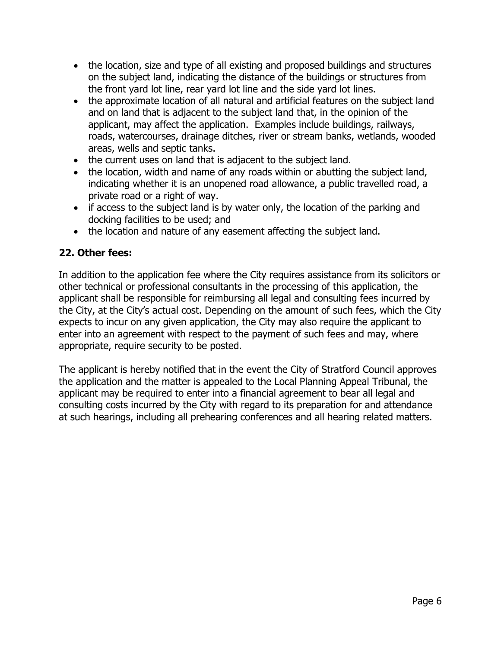- the location, size and type of all existing and proposed buildings and structures on the subject land, indicating the distance of the buildings or structures from the front yard lot line, rear yard lot line and the side yard lot lines.
- the approximate location of all natural and artificial features on the subject land and on land that is adjacent to the subject land that, in the opinion of the applicant, may affect the application. Examples include buildings, railways, roads, watercourses, drainage ditches, river or stream banks, wetlands, wooded areas, wells and septic tanks.
- the current uses on land that is adjacent to the subject land.
- the location, width and name of any roads within or abutting the subject land, indicating whether it is an unopened road allowance, a public travelled road, a private road or a right of way.
- if access to the subject land is by water only, the location of the parking and docking facilities to be used; and
- the location and nature of any easement affecting the subject land.

## **22. Other fees:**

In addition to the application fee where the City requires assistance from its solicitors or other technical or professional consultants in the processing of this application, the applicant shall be responsible for reimbursing all legal and consulting fees incurred by the City, at the City's actual cost. Depending on the amount of such fees, which the City expects to incur on any given application, the City may also require the applicant to enter into an agreement with respect to the payment of such fees and may, where appropriate, require security to be posted.

The applicant is hereby notified that in the event the City of Stratford Council approves the application and the matter is appealed to the Local Planning Appeal Tribunal, the applicant may be required to enter into a financial agreement to bear all legal and consulting costs incurred by the City with regard to its preparation for and attendance at such hearings, including all prehearing conferences and all hearing related matters.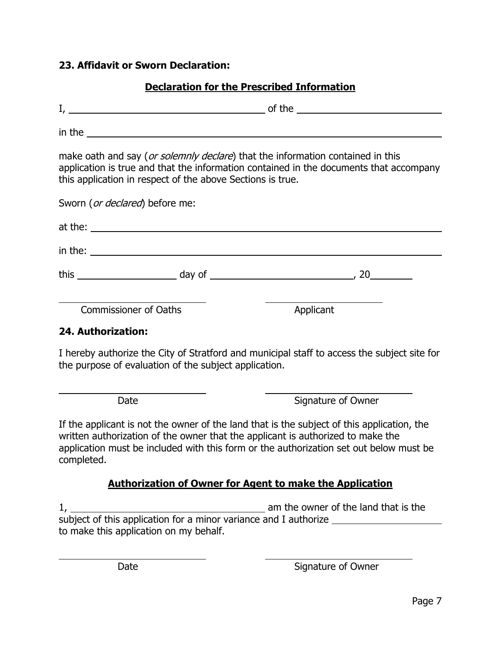## **23. Affidavit or Sworn Declaration:**

| <b>Declaration for the Prescribed Information</b>          |                                                                                                                                                                          |  |  |  |
|------------------------------------------------------------|--------------------------------------------------------------------------------------------------------------------------------------------------------------------------|--|--|--|
|                                                            |                                                                                                                                                                          |  |  |  |
|                                                            | $\mathsf{in\ the}\_$                                                                                                                                                     |  |  |  |
| this application in respect of the above Sections is true. | make oath and say (or solemnly declare) that the information contained in this<br>application is true and that the information contained in the documents that accompany |  |  |  |
| Sworn (or declared) before me:                             |                                                                                                                                                                          |  |  |  |
|                                                            |                                                                                                                                                                          |  |  |  |
|                                                            | $\frac{1}{2}$ in the:                                                                                                                                                    |  |  |  |
|                                                            |                                                                                                                                                                          |  |  |  |
| <b>Commissioner of Oaths</b>                               | Applicant                                                                                                                                                                |  |  |  |
| 24. Authorization:                                         |                                                                                                                                                                          |  |  |  |
| the purpose of evaluation of the subject application.      | I hereby authorize the City of Stratford and municipal staff to access the subject site for                                                                              |  |  |  |

 $\overline{a}$ 

 $\overline{a}$ 

Date Signature of Owner

If the applicant is not the owner of the land that is the subject of this application, the written authorization of the owner that the applicant is authorized to make the application must be included with this form or the authorization set out below must be completed.

## **Authorization of Owner for Agent to make the Application**

1, 1. **am the owner of the land that is the** subject of this application for a minor variance and I authorize \_\_\_\_\_\_\_\_\_\_\_\_\_\_\_ to make this application on my behalf.

Date Signature of Owner